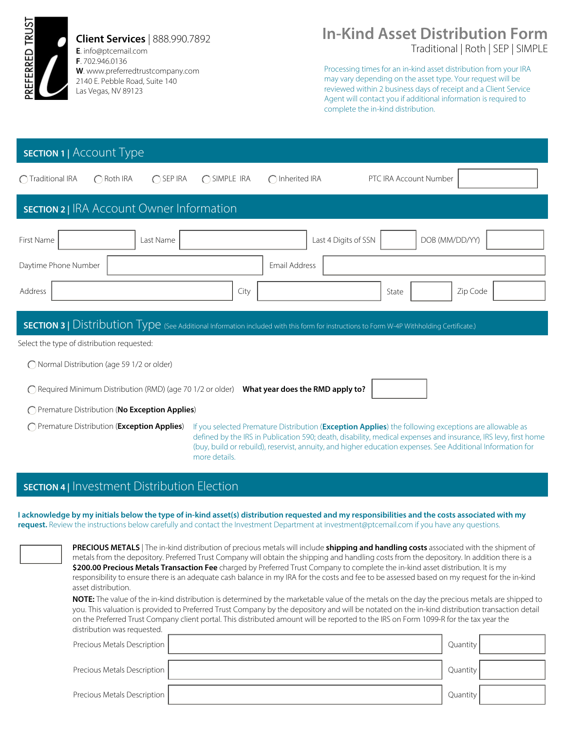

**Client Services** | 888.990.7892

**E**. info@ptcemail.com **F**. 702.946.0136 **W**. www.preferredtrustcompany.com 2140 E. Pebble Road, Suite 140 Las Vegas, NV 89123

# Traditional | Roth | SEP | SIMPLE **In-Kind Asset Distribution Form**

Processing times for an in-kind asset distribution from your IRA may vary depending on the asset type. Your request will be reviewed within 2 business days of receipt and a Client Service Agent will contact you if additional information is required to complete the in-kind distribution.

## **SECTION 1 |** Account Type

| ◯ Traditional IRA                                | $\bigcap$ Roth IRA | $\bigcap$ SEP IRA | ◯ SIMPLE IRA | $\bigcap$ Inherited IRA |                      | PTC IRA Account Number |          |  |
|--------------------------------------------------|--------------------|-------------------|--------------|-------------------------|----------------------|------------------------|----------|--|
| <b>SECTION 2</b>   IRA Account Owner Information |                    |                   |              |                         |                      |                        |          |  |
| First Name                                       |                    | Last Name         |              |                         | Last 4 Digits of SSN | DOB (MM/DD/YY)         |          |  |
| Daytime Phone Number                             |                    |                   |              | Email Address           |                      |                        |          |  |
| Address                                          |                    |                   | City         |                         |                      | State                  | Zip Code |  |

#### **SECTION 3 | Distribution Type** (See Additional Information included with this form for instructions to Form W-4P Withholding Certificate.)

Select the type of distribution requested:

Normal Distribution (age 59 1/2 or older)

Required Minimum Distribution (RMD) (age 70 1/2 or older) **What year does the RMD apply to?**

Premature Distribution (**No Exception Applies**)

Premature Distribution (**Exception Applies**)

If you selected Premature Distribution (**Exception Applies**) the following exceptions are allowable as defined by the IRS in Publication 590; death, disability, medical expenses and insurance, IRS levy, first home (buy, build or rebuild), reservist, annuity, and higher education expenses. See Additional Information for more details.

#### **SECTION 4 |** Investment Distribution Election

**I acknowledge by my initials below the type of in-kind asset(s) distribution requested and my responsibilities and the costs associated with my request.** Review the instructions below carefully and contact the Investment Department at investment@ptcemail.com if you have any questions.

> **PRECIOUS METALS** | The in-kind distribution of precious metals will include **shipping and handling costs** associated with the shipment of metals from the depository. Preferred Trust Company will obtain the shipping and handling costs from the depository. In addition there is a **\$200.00 Precious Metals Transaction Fee** charged by Preferred Trust Company to complete the in-kind asset distribution. It is my responsibility to ensure there is an adequate cash balance in my IRA for the costs and fee to be assessed based on my request for the in-kind asset distribution.

**NOTE:** The value of the in-kind distribution is determined by the marketable value of the metals on the day the precious metals are shipped to you. This valuation is provided to Preferred Trust Company by the depository and will be notated on the in-kind distribution transaction detail on the Preferred Trust Company client portal. This distributed amount will be reported to the IRS on Form 1099-R for the tax year the distribution was requested.

| Precious Metals Description | Quantity |  |
|-----------------------------|----------|--|
| Precious Metals Description | Quantity |  |
| Precious Metals Description | Quantity |  |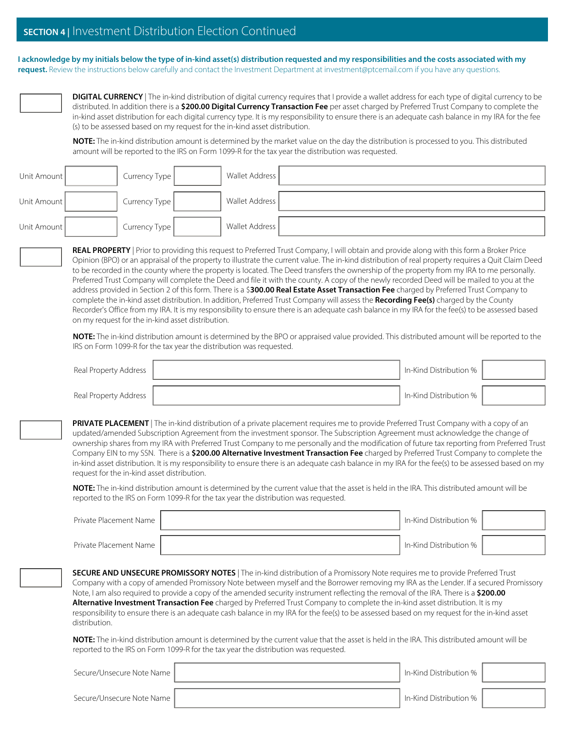#### **SECTION 4 |** Investment Distribution Election Continued

**I acknowledge by my initials below the type of in-kind asset(s) distribution requested and my responsibilities and the costs associated with my request.** Review the instructions below carefully and contact the Investment Department at investment@ptcemail.com if you have any questions.



**DIGITAL CURRENCY** | The in-kind distribution of digital currency requires that I provide a wallet address for each type of digital currency to be distributed. In addition there is a **\$200.00 Digital Currency Transaction Fee** per asset charged by Preferred Trust Company to complete the in-kind asset distribution for each digital currency type. It is my responsibility to ensure there is an adequate cash balance in my IRA for the fee (s) to be assessed based on my request for the in-kind asset distribution.

**NOTE:** The in-kind distribution amount is determined by the market value on the day the distribution is processed to you. This distributed amount will be reported to the IRS on Form 1099-R for the tax year the distribution was requested.

| Unit Amount | Currency Type | Wallet Address |  |
|-------------|---------------|----------------|--|
| Unit Amount | Currency Type | Wallet Address |  |
| Unit Amount | Currency Type | Wallet Address |  |

**REAL PROPERTY** | Prior to providing this request to Preferred Trust Company, I will obtain and provide along with this form a Broker Price Opinion (BPO) or an appraisal of the property to illustrate the current value. The in-kind distribution of real property requires a Quit Claim Deed to be recorded in the county where the property is located. The Deed transfers the ownership of the property from my IRA to me personally. Preferred Trust Company will complete the Deed and file it with the county. A copy of the newly recorded Deed will be mailed to you at the address provided in Section 2 of this form. There is a \$**300.00 Real Estate Asset Transaction Fee** charged by Preferred Trust Company to complete the in-kind asset distribution. In addition, Preferred Trust Company will assess the **Recording Fee(s)** charged by the County Recorder's Office from my IRA. It is my responsibility to ensure there is an adequate cash balance in my IRA for the fee(s) to be assessed based on my request for the in-kind asset distribution.

**NOTE:** The in-kind distribution amount is determined by the BPO or appraised value provided. This distributed amount will be reported to the IRS on Form 1099-R for the tax year the distribution was requested.

| Real Property Address | In-Kind Distribution % |  |
|-----------------------|------------------------|--|
| Real Property Address | In-Kind Distribution % |  |

**PRIVATE PLACEMENT** | The in-kind distribution of a private placement requires me to provide Preferred Trust Company with a copy of an updated/amended Subscription Agreement from the investment sponsor. The Subscription Agreement must acknowledge the change of ownership shares from my IRA with Preferred Trust Company to me personally and the modification of future tax reporting from Preferred Trust Company EIN to my SSN. There is a **\$200.00 Alternative Investment Transaction Fee** charged by Preferred Trust Company to complete the in-kind asset distribution. It is my responsibility to ensure there is an adequate cash balance in my IRA for the fee(s) to be assessed based on my request for the in-kind asset distribution.

**NOTE:** The in-kind distribution amount is determined by the current value that the asset is held in the IRA. This distributed amount will be reported to the IRS on Form 1099-R for the tax year the distribution was requested.

| Private Placement Name   | In-Kind Distribution % 1 |  |
|--------------------------|--------------------------|--|
| Private Placement Name 1 | In-Kind Distribution %   |  |

**SECURE AND UNSECURE PROMISSORY NOTES** | The in-kind distribution of a Promissory Note requires me to provide Preferred Trust Company with a copy of amended Promissory Note between myself and the Borrower removing my IRA as the Lender. If a secured Promissory Note, I am also required to provide a copy of the amended security instrument reflecting the removal of the IRA. There is a **\$200.00 Alternative Investment Transaction Fee** charged by Preferred Trust Company to complete the in-kind asset distribution. It is my responsibility to ensure there is an adequate cash balance in my IRA for the fee(s) to be assessed based on my request for the in-kind asset distribution.

**NOTE:** The in-kind distribution amount is determined by the current value that the asset is held in the IRA. This distributed amount will be reported to the IRS on Form 1099-R for the tax year the distribution was requested.

Secure/Unsecure Note Name In-Kind Distribution %

Secure/Unsecure Note Name | Note in the United Secure/Unsecure Note Name | Note in the United Secure In-Kind Distribution %